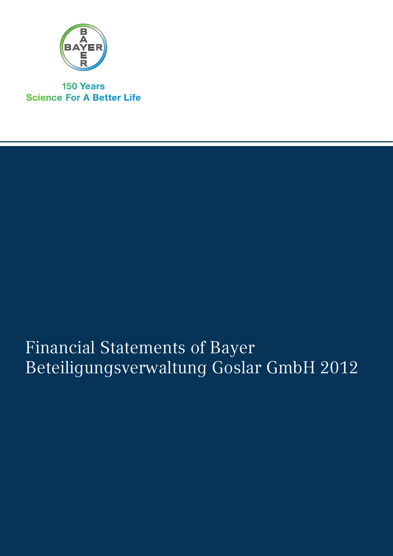

**150 Years Science For A Better Life** 

# Financial Statements of Bayer Beteiligungsverwaltung Goslar GmbH 2012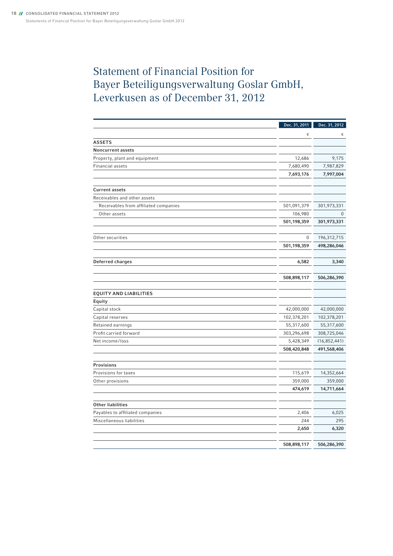## Statement of Financial Position for Bayer Beteiligungsverwaltung Goslar GmbH, Leverkusen as of December 31, 2012

|                                       | Dec. 31, 2011 | Dec. 31, 2012  |
|---------------------------------------|---------------|----------------|
|                                       | €             | €              |
| <b>ASSETS</b>                         |               |                |
| <b>Noncurrent assets</b>              |               |                |
| Property, plant and equipment         | 12,686        | 9,175          |
| Financial assets                      | 7,680,490     | 7,987,829      |
|                                       | 7,693,176     | 7,997,004      |
|                                       |               |                |
| <b>Current assets</b>                 |               |                |
| Receivables and other assets          |               |                |
| Receivables from affiliated companies | 501,091,379   | 301,973,331    |
| Other assets                          | 106,980       | 0              |
|                                       | 501,198,359   | 301,973,331    |
|                                       |               |                |
| Other securities                      | 0             | 196,312,715    |
|                                       | 501,198,359   | 498,286,046    |
|                                       |               |                |
| Deferred charges                      | 6,582         | 3,340          |
|                                       |               |                |
|                                       | 508,898,117   | 506,286,390    |
|                                       |               |                |
| <b>EQUITY AND LIABILITIES</b>         |               |                |
| Equity                                |               |                |
| Capital stock                         | 42,000,000    | 42,000,000     |
| Capital reserves                      | 102,378,201   | 102,378,201    |
| Retained earnings                     | 55,317,600    | 55,317,600     |
| Profit carried forward                | 303,296,698   | 308,725,046    |
| Net income/loss                       | 5,428,349     | (16, 852, 441) |
|                                       | 508,420,848   | 491,568,406    |
|                                       |               |                |
| Provisions                            |               |                |
| Provisions for taxes                  | 115,619       | 14,352,664     |
| Other provisions                      | 359,000       | 359,000        |
|                                       | 474,619       | 14,711,664     |
| <b>Other liabilities</b>              |               |                |
| Payables to affiliated companies      | 2,406         | 6,025          |
| Miscellaneous liabilities             | 244           | 295            |
|                                       | 2,650         | 6,320          |
|                                       |               |                |
|                                       | 508,898,117   | 506,286,390    |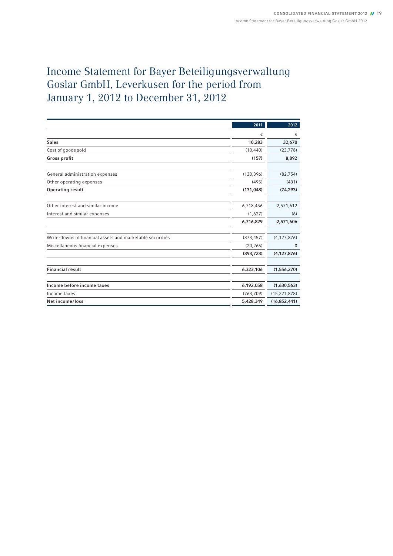## Income Statement for Bayer Beteiligungsverwaltung Goslar GmbH, Leverkusen for the period from January 1, 2012 to December 31, 2012

|                                                           | 2011       | 2012           |
|-----------------------------------------------------------|------------|----------------|
|                                                           | €          | €              |
| <b>Sales</b>                                              | 10,283     | 32,670         |
| Cost of goods sold                                        | (10, 440)  | (23, 778)      |
| Gross profit                                              | (157)      | 8,892          |
|                                                           |            |                |
| General administration expenses                           | (130, 396) | (82, 754)      |
| Other operating expenses                                  | (495)      | (431)          |
| <b>Operating result</b>                                   | (131, 048) | (74, 293)      |
|                                                           |            |                |
| Other interest and similar income                         | 6,718,456  | 2,571,612      |
| Interest and similar expenses                             | (1,627)    | (6)            |
|                                                           | 6,716,829  | 2,571,606      |
|                                                           |            |                |
| Write-downs of financial assets and marketable securities | (373, 457) | (4, 127, 876)  |
| Miscellaneous financial expenses                          | (20, 266)  | $\mathbf{0}$   |
|                                                           | (393, 723) | (4, 127, 876)  |
|                                                           |            |                |
| <b>Financial result</b>                                   | 6,323,106  | (1,556,270)    |
|                                                           |            |                |
| Income before income taxes                                | 6,192,058  | (1,630,563)    |
| Income taxes                                              | (763, 709) | (15, 221, 878) |
| Net income/loss                                           | 5,428,349  | (16, 852, 441) |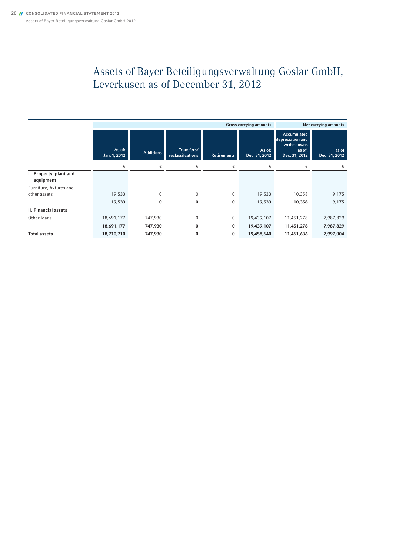## Assets of Bayer Beteiligungsverwaltung Goslar GmbH, Leverkusen as of December 31, 2012

|                                     | <b>Gross carrying amounts</b> |                  |                                |                    |                         | Net carrying amounts                                                             |                        |
|-------------------------------------|-------------------------------|------------------|--------------------------------|--------------------|-------------------------|----------------------------------------------------------------------------------|------------------------|
|                                     | As of:<br>Jan. 1, 2012        | <b>Additions</b> | Transfers/<br>reclassifcations | <b>Retirements</b> | As of:<br>Dec. 31, 2012 | <b>Accumulated</b><br>depreciation and<br>write-downs<br>as of:<br>Dec. 31, 2012 | as of<br>Dec. 31, 2012 |
|                                     | €                             | €                | €                              | €                  | €                       | €                                                                                | €                      |
| I. Property, plant and<br>equipment |                               |                  |                                |                    |                         |                                                                                  |                        |
| Furniture, fixtures and             |                               |                  |                                |                    |                         |                                                                                  |                        |
| other assets                        | 19,533                        | $\Omega$         | $\mathbf{0}$                   | 0                  | 19,533                  | 10,358                                                                           | 9,175                  |
|                                     | 19,533                        | 0                | 0                              | $\bf{0}$           | 19,533                  | 10,358                                                                           | 9,175                  |
| <b>II. Financial assets</b>         |                               |                  |                                |                    |                         |                                                                                  |                        |
| Other loans                         | 18,691,177                    | 747,930          | $\mathbf 0$                    | 0                  | 19,439,107              | 11,451,278                                                                       | 7,987,829              |
|                                     | 18,691,177                    | 747,930          | 0                              | 0                  | 19,439,107              | 11,451,278                                                                       | 7,987,829              |
| <b>Total assets</b>                 | 18,710,710                    | 747,930          | 0                              | 0                  | 19,458,640              | 11,461,636                                                                       | 7,997,004              |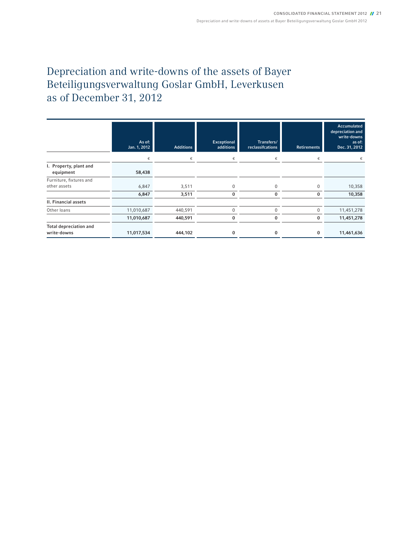## Depreciation and write-downs of the assets of Bayer Beteiligungsverwaltung Goslar GmbH, Leverkusen as of December 31, 2012

|                                              | As of:<br>Jan. 1, 2012 | <b>Additions</b> | Exceptional<br>additions | Transfers/<br>reclassifcations | <b>Retirements</b> | <b>Accumulated</b><br>depreciation and<br>write-downs<br>as of:<br>Dec. 31, 2012 |
|----------------------------------------------|------------------------|------------------|--------------------------|--------------------------------|--------------------|----------------------------------------------------------------------------------|
|                                              | €                      | €                | €                        | €                              | €                  |                                                                                  |
| I. Property, plant and<br>equipment          | 58,438                 |                  |                          |                                |                    |                                                                                  |
| Furniture, fixtures and                      |                        |                  |                          |                                |                    |                                                                                  |
| other assets                                 | 6,847                  | 3,511            | $\mathbf 0$              | $\mathbf 0$                    | $\mathbf 0$        | 10,358                                                                           |
|                                              | 6,847                  | 3,511            | $\bf{0}$                 | 0                              | $\bf{0}$           | 10,358                                                                           |
| II. Financial assets                         |                        |                  |                          |                                |                    |                                                                                  |
| Other loans                                  | 11,010,687             | 440,591          | $\mathbf 0$              | $\mathbf{0}$                   | 0                  | 11,451,278                                                                       |
|                                              | 11,010,687             | 440,591          | $\bf{0}$                 | 0                              | 0                  | 11,451,278                                                                       |
| <b>Total depreciation and</b><br>write-downs | 11,017,534             | 444,102          | 0                        | 0                              | 0                  | 11,461,636                                                                       |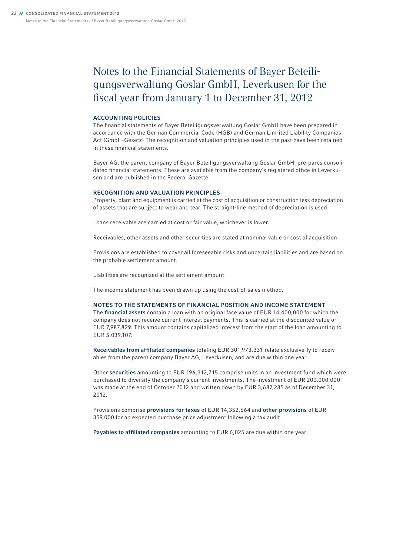#### Notes to the Financial Statements of Bayer Beteiligungsverwaltung Goslar GmbH, Leverkusen for the fiscal year from January 1 to December 31, 2012

#### Accounting Policies

The financial statements of Bayer Beteiligungsverwaltung Goslar GmbH have been prepared in accordance with the German Commercial Code (HGB) and German Lim-ited Liability Companies Act (GmbH-Gesetz) The recognition and valuation principles used in the past have been retained in these financial statements.

Bayer AG, the parent company of Bayer Beteiligungsverwaltung Goslar GmbH, pre-pares consolidated financial statements. These are available from the company's registered office in Leverkusen and are published in the Federal Gazette.

#### Recognition and Valuation Principles

Property, plant and equipment is carried at the cost of acquisition or construction less depreciation of assets that are subject to wear and tear. The straight-line method of depreciation is used.

Loans receivable are carried at cost or fair value, whichever is lower.

Receivables, other assets and other securities are stated at nominal value or cost of acquisition.

Provisions are established to cover all foreseeable risks and uncertain liabilities and are based on the probable settlement amount.

Liabilities are recognized at the settlement amount.

The income statement has been drawn up using the cost-of-sales method.

#### Notes to the Statements of financial Position and income statement

The financial assets contain a loan with an original face value of EUR 14,400,000 for which the company does not receive current interest payments. This is carried at the discounted value of EUR 7,987,829. This amount contains capitalized interest from the start of the loan amounting to EUR 5,039,107.

Receivables from affiliated companies totaling EUR 301,973,331 relate exclusive-ly to receivables from the parent company Bayer AG, Leverkusen, and are due within one year.

Other securities amounting to EUR 196,312,715 comprise units in an investment fund which were purchased to diversify the company's current investments. The investment of EUR 200,000,000 was made at the end of October 2012 and written down by EUR 3,687,285 as of December 31, 2012.

Provisions comprise provisions for taxes of EUR 14,352,664 and other provisions of EUR 359,000 for an expected purchase price adjustment following a tax audit.

Payables to affiliated companies amounting to EUR 6,025 are due within one year.